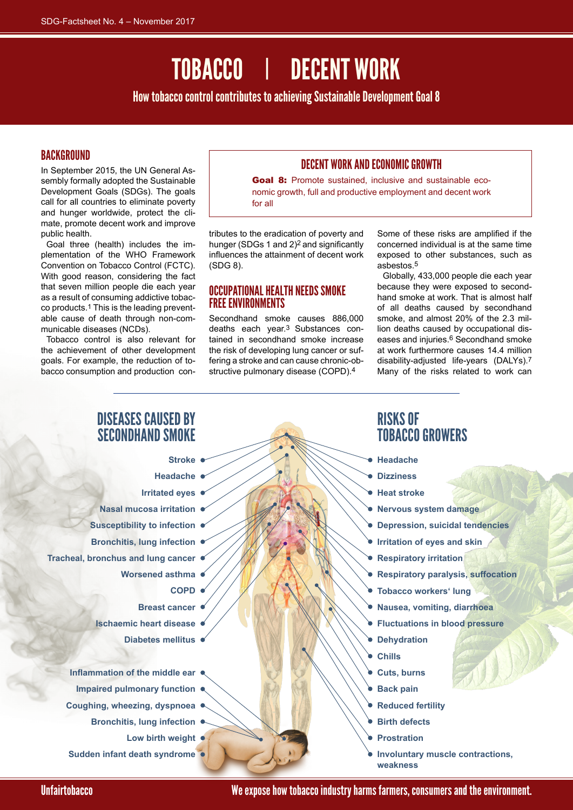TOBACCO | DECENT WORK

How tobacco control contributes to achieving Sustainable Development Goal 8

## BACKGROUND

In September 2015, the UN General Assembly formally adopted the Sustainable Development Goals (SDGs). The goals call for all countries to eliminate poverty and hunger worldwide, protect the climate, promote decent work and improve public health.

Goal three (health) includes the implementation of the WHO Framework Convention on Tobacco Control (FCTC). With good reason, considering the fact that seven million people die each year as a result of consuming addictive tobacco products.1 This is the leading preventable cause of death through non-communicable diseases (NCDs).

Tobacco control is also relevant for the achievement of other development goals. For example, the reduction of tobacco consumption and production con-

## DECENT WORK AND ECONOMIC GROWTH

**Goal 8:** Promote sustained, inclusive and sustainable economic growth, full and productive employment and decent work for all

tributes to the eradication of poverty and hunger (SDGs 1 and 2)2 and significantly influences the attainment of decent work  $(SDG 8)$ .

## OCCUPATIONAL HEALTH NEEDS SMOKE FREE ENVIRONMENTS

Secondhand smoke causes 886,000 deaths each year.3 Substances contained in secondhand smoke increase the risk of developing lung cancer or suffering a stroke and can cause chronic-obstructive pulmonary disease (COPD).4

Some of these risks are amplified if the concerned individual is at the same time exposed to other substances, such as asbestos.5

Globally, 433,000 people die each year because they were exposed to secondhand smoke at work. That is almost half of all deaths caused by secondhand smoke, and almost 20% of the 2.3 million deaths caused by occupational diseases and injuries.6 Secondhand smoke at work furthermore causes 14.4 million disability-adjusted life-years (DALYs).7 Many of the risks related to work can

# DISEASES CAUSED BY SECONDHAND SMOKE

**Stroke**

- **Headache**
- **Irritated eyes**
- **Nasal mucosa irritation**
- **Susceptibility to infection**
- **Bronchitis, lung infection**
- **Tracheal, bronchus and lung cancer**
	- **Worsened asthma**
		- **COPD**
	- **Breast cancer**
	- **Ischaemic heart disease Diabetes mellitus**

**Inflammation of the middle ear Impaired pulmonary function Coughing, wheezing, dyspnoea Bronchitis, lung infection Low birth weight Sudden infant death syndrome**

## RISKS OF TOBACCO GROWERS

- **Headache**
- **Dizziness**
- **Heat stroke**
- **Nervous system damage**
- **Depression, suicidal tendencies**
- **Irritation of eyes and skin**
- **Respiratory irritation**
- **Respiratory paralysis, suffocation**
- **Tobacco workers' lung**
- **Nausea, vomiting, diarrhoea**
- **Fluctuations in blood pressure**
- **Dehydration**
- **Chills**
- **Cuts, burns**
- **Back pain**
- **Reduced fertility**
- **Birth defects**
- **Prostration**
- **Involuntary muscle contractions, weakness**

Unfairtobacco We expose how tobacco industry harms farmers, consumers and the environment.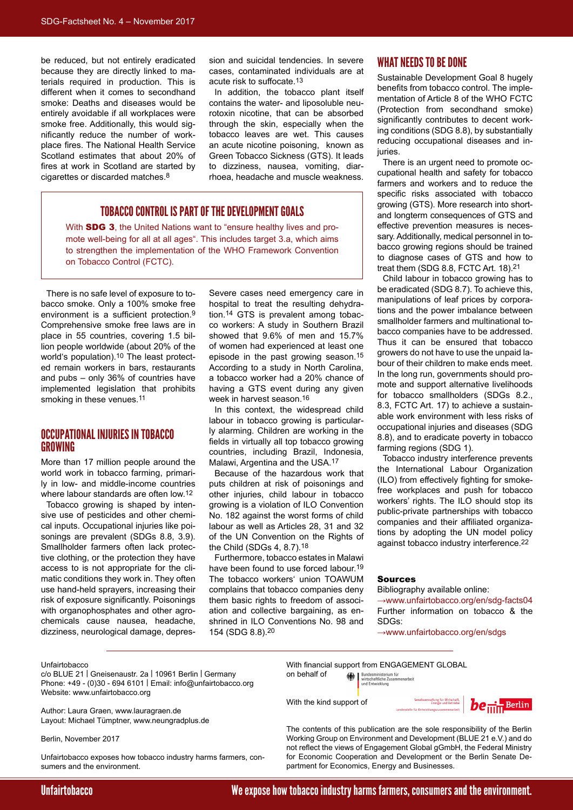be reduced, but not entirely eradicated because they are directly linked to materials required in production. This is different when it comes to secondhand smoke: Deaths and diseases would be entirely avoidable if all workplaces were smoke free. Additionally, this would significantly reduce the number of workplace fires. The National Health Service Scotland estimates that about 20% of fires at work in Scotland are started by cigarettes or discarded matches.8

sion and suicidal tendencies. In severe cases, contaminated individuals are at acute risk to suffocate.13

In addition, the tobacco plant itself contains the water- and liposoluble neurotoxin nicotine, that can be absorbed through the skin, especially when the tobacco leaves are wet. This causes an acute nicotine poisoning, known as Green Tobacco Sickness (GTS). It leads to dizziness, nausea, vomiting, diarrhoea, headache and muscle weakness.

### TOBACCO CONTROL IS PART OF THE DEVELOPMENT GOALS

With **SDG 3**, the United Nations want to "ensure healthy lives and promote well-being for all at all ages". This includes target 3.a, which aims to strengthen the implementation of the WHO Framework Convention on Tobacco Control (FCTC).

There is no safe level of exposure to tobacco smoke. Only a 100% smoke free environment is a sufficient protection.9 Comprehensive smoke free laws are in place in 55 countries, covering 1.5 billion people worldwide (about 20% of the world's population).10 The least protected remain workers in bars, restaurants and pubs – only 36% of countries have implemented legislation that prohibits smoking in these venues.<sup>11</sup>

## OCCUPATIONAL INJURIES IN TOBACCO GROWING

More than 17 million people around the world work in tobacco farming, primarily in low- and middle-income countries where labour standards are often low.<sup>12</sup>

Tobacco growing is shaped by intensive use of pesticides and other chemical inputs. Occupational injuries like poisonings are prevalent (SDGs 8.8, 3.9). Smallholder farmers often lack protective clothing, or the protection they have access to is not appropriate for the climatic conditions they work in. They often use hand-held sprayers, increasing their risk of exposure significantly. Poisonings with organophosphates and other agrochemicals cause nausea, headache, dizziness, neurological damage, depres-

Severe cases need emergency care in hospital to treat the resulting dehydration.14 GTS is prevalent among tobacco workers: A study in Southern Brazil showed that 9.6% of men and 15.7% of women had experienced at least one episode in the past growing season.15 According to a study in North Carolina, a tobacco worker had a 20% chance of having a GTS event during any given week in harvest season.16

In this context, the widespread child labour in tobacco growing is particularly alarming. Children are working in the fields in virtually all top tobacco growing countries, including Brazil, Indonesia, Malawi, Argentina and the USA.17

Because of the hazardous work that puts children at risk of poisonings and other injuries, child labour in tobacco growing is a violation of ILO Convention No. 182 against the worst forms of child labour as well as Articles 28, 31 and 32 of the UN Convention on the Rights of the Child (SDGs 4, 8.7).18

Furthermore, tobacco estates in Malawi have been found to use forced labour.19 The tobacco workers' union TOAWUM complains that tobacco companies deny them basic rights to freedom of association and collective bargaining, as enshrined in ILO Conventions No. 98 and 154 (SDG 8.8).20

## WHAT NEEDS TO BE DONE

Sustainable Development Goal 8 hugely benefits from tobacco control. The implementation of Article 8 of the WHO FCTC (Protection from secondhand smoke) significantly contributes to decent working conditions (SDG 8.8), by substantially reducing occupational diseases and injuries.

There is an urgent need to promote occupational health and safety for tobacco farmers and workers and to reduce the specific risks associated with tobacco growing (GTS). More research into shortand longterm consequences of GTS and effective prevention measures is necessary. Additionally, medical personnel in tobacco growing regions should be trained to diagnose cases of GTS and how to treat them (SDG 8.8, FCTC Art. 18).21

Child labour in tobacco growing has to be eradicated (SDG 8.7). To achieve this, manipulations of leaf prices by corporations and the power imbalance between smallholder farmers and multinational tobacco companies have to be addressed. Thus it can be ensured that tobacco growers do not have to use the unpaid labour of their children to make ends meet. In the long run, governments should promote and support alternative livelihoods for tobacco smallholders (SDGs 8.2., 8.3, FCTC Art. 17) to achieve a sustainable work environment with less risks of occupational injuries and diseases (SDG 8.8), and to eradicate poverty in tobacco farming regions (SDG 1).

Tobacco industry interference prevents the International Labour Organization (ILO) from effectively fighting for smokefree workplaces and push for tobacco workers' rights. The ILO should stop its public-private partnerships with tobacco companies and their affiliated organizations by adopting the UN model policy against tobacco industry interference.22

#### Sources

Bibliography available online: [→www.unfairtobacco.org/en/sdg-facts04](http://www.unfairtobacco.org/en/sdg-facts04) Further information on tobacco & the SDGs:

[→www.unfairtobacco.org/en/sdgs](http://www.unfairtobacco.org/en/sdgs)

#### Unfairtobacco

c/o BLUE 21 | Gneisenaustr. 2a | 10961 Berlin | Germany Phone: +49 - (0)30 - 694 6101 | Email: info@unfairtobacco.org Website: [www.unfairtobacco.org](http://www.unfairtobacco.org)

Author: Laura Graen, [www.lauragraen.de](http://www.lauragraen.de) Layout: Michael Tümptner, [www.neungradplus.de](http://www.neungradplus.de)

Berlin, November 2017

Unfairtobacco exposes how tobacco industry harms farmers, consumers and the environment.

With financial support from  $ENGAGEMENT$  GLOBAL<br>
on behalf of  $\bigoplus_{\text{uniform function}\atop \text{unof Entwickling}} \underbrace{\text{Bundentnickling}}_{\text{unof Entwickling}}$ on behalf of

With the kind support of



The contents of this publication are the sole responsibility of the Berlin Working Group on Environment and Development (BLUE 21 e.V.) and do not reflect the views of Engagement Global gGmbH, the Federal Ministry for Economic Cooperation and Development or the Berlin Senate Department for Economics, Energy and Businesses.

**Landesstelle für Entwicklungszusamm** 

We expose how tobacco industry harms farmers, consumers and the environment.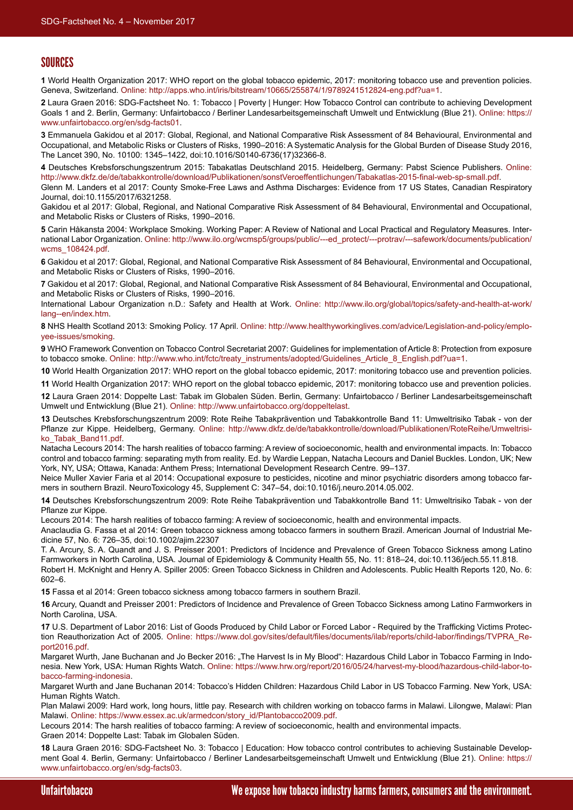## **SOURCES**

**1** World Health Organization 2017: WHO report on the global tobacco epidemic, 2017: monitoring tobacco use and prevention policies. Geneva, Switzerland. Online: <http://apps.who.int/iris/bitstream/10665/255874/1/9789241512824-eng.pdf?ua=1>.

**2** Laura Graen 2016: SDG-Factsheet No. 1: Tobacco | Poverty | Hunger: How Tobacco Control can contribute to achieving Development Goals 1 and 2. Berlin, Germany: Unfairtobacco / Berliner Landesarbeitsgemeinschaft Umwelt und Entwicklung (Blue 21). Online: [https://](https://www.unfairtobacco.org/en/sdg-facts01) [www.unfairtobacco.org/en/sdg-facts01.](https://www.unfairtobacco.org/en/sdg-facts01)

**3** Emmanuela Gakidou et al 2017: Global, Regional, and National Comparative Risk Assessment of 84 Behavioural, Environmental and Occupational, and Metabolic Risks or Clusters of Risks, 1990–2016: A Systematic Analysis for the Global Burden of Disease Study 2016, The Lancet 390, No. 10100: 1345–1422, doi:10.1016/S0140-6736(17)32366-8.

**4** Deutsches Krebsforschungszentrum 2015: Tabakatlas Deutschland 2015. Heidelberg, Germany: Pabst Science Publishers. Online: <http://www.dkfz.de/de/tabakkontrolle/download/Publikationen/sonstVeroeffentlichungen/Tabakatlas-2015-final-web-sp-small.pdf>.

Glenn M. Landers et al 2017: County Smoke-Free Laws and Asthma Discharges: Evidence from 17 US States, Canadian Respiratory Journal, doi:10.1155/2017/6321258.

Gakidou et al 2017: Global, Regional, and National Comparative Risk Assessment of 84 Behavioural, Environmental and Occupational, and Metabolic Risks or Clusters of Risks, 1990–2016.

**5** Carin Håkansta 2004: Workplace Smoking. Working Paper: A Review of National and Local Practical and Regulatory Measures. International Labor Organization. Online: [http://www.ilo.org/wcmsp5/groups/public/---ed\\_protect/---protrav/---safework/documents/publication/](http://www.ilo.org/wcmsp5/groups/public/---ed_protect/---protrav/---safework/documents/publication/wcms_108424.pdf) [wcms\\_108424.pdf.](http://www.ilo.org/wcmsp5/groups/public/---ed_protect/---protrav/---safework/documents/publication/wcms_108424.pdf)

**6** Gakidou et al 2017: Global, Regional, and National Comparative Risk Assessment of 84 Behavioural, Environmental and Occupational, and Metabolic Risks or Clusters of Risks, 1990–2016.

**7** Gakidou et al 2017: Global, Regional, and National Comparative Risk Assessment of 84 Behavioural, Environmental and Occupational, and Metabolic Risks or Clusters of Risks, 1990–2016.

International Labour Organization n.D.: Safety and Health at Work. Online: [http://www.ilo.org/global/topics/safety-and-health-at-work/](http://www.ilo.org/global/topics/safety-and-health-at-work/lang--en/index.htm) [lang--en/index.htm.](http://www.ilo.org/global/topics/safety-and-health-at-work/lang--en/index.htm)

**8** NHS Health Scotland 2013: Smoking Policy. 17 April. Online: [http://www.healthyworkinglives.com/advice/Legislation-and-policy/emplo](http://www.healthyworkinglives.com/advice/Legislation-and-policy/employee-issues/smoking)[yee-issues/smoking](http://www.healthyworkinglives.com/advice/Legislation-and-policy/employee-issues/smoking).

**9** WHO Framework Convention on Tobacco Control Secretariat 2007: Guidelines for implementation of Article 8: Protection from exposure to tobacco smoke. Online: [http://www.who.int/fctc/treaty\\_instruments/adopted/Guidelines\\_Article\\_8\\_English.pdf?ua=1.](http://www.who.int/fctc/treaty_instruments/adopted/Guidelines_Article_8_English.pdf?ua=1)

**10** World Health Organization 2017: WHO report on the global tobacco epidemic, 2017: monitoring tobacco use and prevention policies. **11** World Health Organization 2017: WHO report on the global tobacco epidemic, 2017: monitoring tobacco use and prevention policies.

**12** Laura Graen 2014: Doppelte Last: Tabak im Globalen Süden. Berlin, Germany: Unfairtobacco / Berliner Landesarbeitsgemeinschaft Umwelt und Entwicklung (Blue 21). Online: <http://www.unfairtobacco.org/doppeltelast>.

**13** Deutsches Krebsforschungszentrum 2009: Rote Reihe Tabakprävention und Tabakkontrolle Band 11: Umweltrisiko Tabak - von der Pflanze zur Kippe. Heidelberg, Germany. Online: [http://www.dkfz.de/de/tabakkontrolle/download/Publikationen/RoteReihe/Umweltrisi](http://www.dkfz.de/de/tabakkontrolle/download/Publikationen/RoteReihe/Umweltrisiko_Tabak_Band11.pdf)[ko\\_Tabak\\_Band11.pdf](http://www.dkfz.de/de/tabakkontrolle/download/Publikationen/RoteReihe/Umweltrisiko_Tabak_Band11.pdf).

Natacha Lecours 2014: The harsh realities of tobacco farming: A review of socioeconomic, health and environmental impacts. In: Tobacco control and tobacco farming: separating myth from reality. Ed. by Wardie Leppan, Natacha Lecours and Daniel Buckles. London, UK; New York, NY, USA; Ottawa, Kanada: Anthem Press; International Development Research Centre. 99–137.

Neice Muller Xavier Faria et al 2014: Occupational exposure to pesticides, nicotine and minor psychiatric disorders among tobacco farmers in southern Brazil. NeuroToxicology 45, Supplement C: 347–54, doi:10.1016/j.neuro.2014.05.002.

**14** Deutsches Krebsforschungszentrum 2009: Rote Reihe Tabakprävention und Tabakkontrolle Band 11: Umweltrisiko Tabak - von der Pflanze zur Kippe.

Lecours 2014: The harsh realities of tobacco farming: A review of socioeconomic, health and environmental impacts.

Anaclaudia G. Fassa et al 2014: Green tobacco sickness among tobacco farmers in southern Brazil. American Journal of Industrial Medicine 57, No. 6: 726–35, doi:10.1002/ajim.22307

T. A. Arcury, S. A. Quandt and J. S. Preisser 2001: Predictors of Incidence and Prevalence of Green Tobacco Sickness among Latino Farmworkers in North Carolina, USA. Journal of Epidemiology & Community Health 55, No. 11: 818–24, doi:10.1136/jech.55.11.818. Robert H. McKnight and Henry A. Spiller 2005: Green Tobacco Sickness in Children and Adolescents. Public Health Reports 120, No. 6: 602–6.

**15** Fassa et al 2014: Green tobacco sickness among tobacco farmers in southern Brazil.

**16** Arcury, Quandt and Preisser 2001: Predictors of Incidence and Prevalence of Green Tobacco Sickness among Latino Farmworkers in North Carolina, USA.

**17** U.S. Department of Labor 2016: List of Goods Produced by Child Labor or Forced Labor - Required by the Trafficking Victims Protection Reauthorization Act of 2005. Online: [https://www.dol.gov/sites/default/files/documents/ilab/reports/child-labor/findings/TVPRA\\_Re](https://www.dol.gov/sites/default/files/documents/ilab/reports/child-labor/findings/TVPRA_Report2016.pdf)[port2016.pdf](https://www.dol.gov/sites/default/files/documents/ilab/reports/child-labor/findings/TVPRA_Report2016.pdf).

Margaret Wurth, Jane Buchanan and Jo Becker 2016: "The Harvest Is in My Blood": Hazardous Child Labor in Tobacco Farming in Indonesia. New York, USA: Human Rights Watch. Online: [https://www.hrw.org/report/2016/05/24/harvest-my-blood/hazardous-child-labor-to](https://www.hrw.org/report/2016/05/24/harvest-my-blood/hazardous-child-labor-tobacco-farming-indonesia)[bacco-farming-indonesia.](https://www.hrw.org/report/2016/05/24/harvest-my-blood/hazardous-child-labor-tobacco-farming-indonesia)

Margaret Wurth and Jane Buchanan 2014: Tobacco's Hidden Children: Hazardous Child Labor in US Tobacco Farming. New York, USA: Human Rights Watch.

Plan Malawi 2009: Hard work, long hours, little pay. Research with children working on tobacco farms in Malawi. Lilongwe, Malawi: Plan Malawi. Online: [https://www.essex.ac.uk/armedcon/story\\_id/Plantobacco2009.pdf](https://www.essex.ac.uk/armedcon/story_id/Plantobacco2009.pdf).

Lecours 2014: The harsh realities of tobacco farming: A review of socioeconomic, health and environmental impacts. Graen 2014: Doppelte Last: Tabak im Globalen Süden.

**18** Laura Graen 2016: SDG-Factsheet No. 3: Tobacco | Education: How tobacco control contributes to achieving Sustainable Development Goal 4. Berlin, Germany: Unfairtobacco / Berliner Landesarbeitsgemeinschaft Umwelt und Entwicklung (Blue 21). Online: https:// [www.unfairtobacco.org/en/sdg-facts03.](http://www.unfairtobacco.org/en/sdg-facts03)